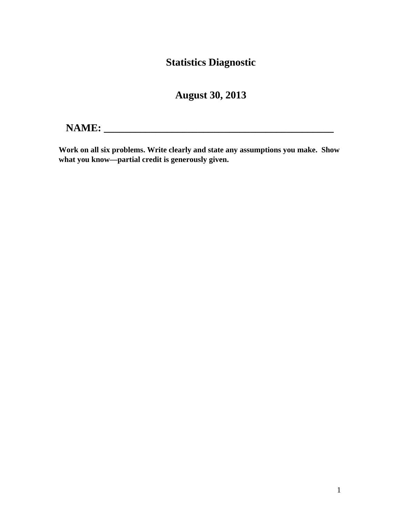## **Statistics Diagnostic**

**August 30, 2013**

# **NAME: \_\_\_\_\_\_\_\_\_\_\_\_\_\_\_\_\_\_\_\_\_\_\_\_\_\_\_\_\_\_\_\_\_\_\_\_\_\_\_\_\_\_\_\_**

**Work on all six problems. Write clearly and state any assumptions you make. Show what you know—partial credit is generously given.**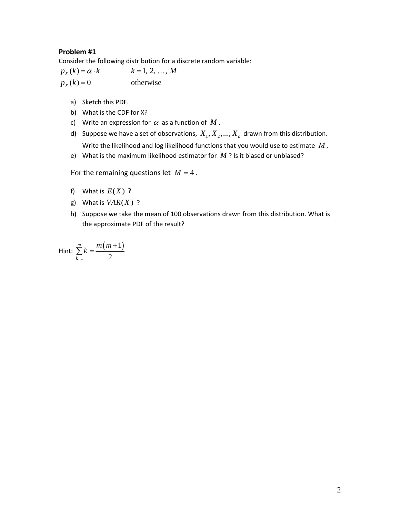Consider the following distribution for a discrete random variable:

 $p_X(k) = \alpha \cdot k$   $k = 1, 2, ..., M$ otherwise  $X(x) = \alpha \cdot k$   $k =$  $p_{X}(k) =$ 

- a) Sketch this PDF.
- b) What is the CDF for X?
- c) Write an expression for  $\alpha$  as a function of M.
- d) Suppose we have a set of observations,  $X_1, X_2, ..., X_n$  drawn from this distribution. Write the likelihood and log likelihood functions that you would use to estimate *M* .
- e) What is the maximum likelihood estimator for *M* ? Is it biased or unbiased?

For the remaining questions let  $M = 4$ .

- f) What is  $E(X)$  ?
- g) What is  $VAR(X)$  ?
- h) Suppose we take the mean of 100 observations drawn from this distribution. What is the approximate PDF of the result?

Hint: 
$$
\sum_{k=1}^{m} k = \frac{m(m+1)}{2}
$$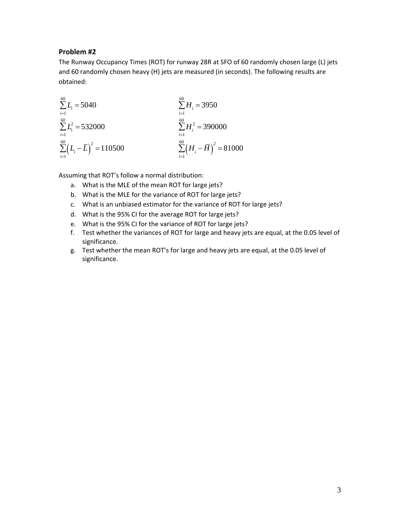The Runway Occupancy Times (ROT) for runway 28R at SFO of 60 randomly chosen large (L) jets and 60 randomly chosen heavy (H) jets are measured (in seconds). The following results are obtained:

$$
\sum_{i=1}^{60} L_i = 5040
$$
\n
$$
\sum_{i=1}^{60} H_i = 3950
$$
\n
$$
\sum_{i=1}^{60} L_i^2 = 532000
$$
\n
$$
\sum_{i=1}^{60} H_i^2 = 390000
$$
\n
$$
\sum_{i=1}^{60} (L_i - \overline{L})^2 = 110500
$$
\n
$$
\sum_{i=1}^{60} (H_i - \overline{H})^2 = 81000
$$

Assuming that ROT's follow a normal distribution:

- a. What is the MLE of the mean ROT for large jets?
- b. What is the MLE for the variance of ROT for large jets?
- c. What is an unbiased estimator for the variance of ROT for large jets?
- d. What is the 95% CI for the average ROT for large jets?
- e. What is the 95% CI for the variance of ROT for large jets?
- f. Test whether the variances of ROT for large and heavy jets are equal, at the 0.05 level of significance.
- g. Test whether the mean ROT's for large and heavy jets are equal, at the 0.05 level of significance.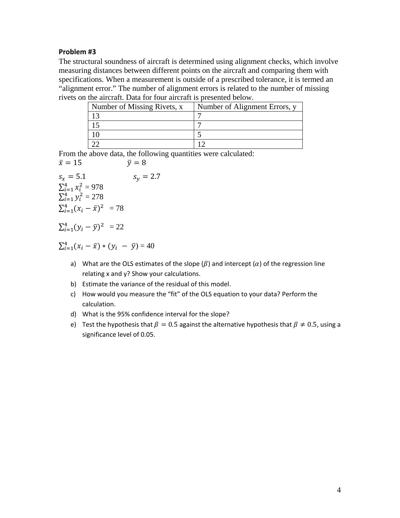The structural soundness of aircraft is determined using alignment checks, which involve measuring distances between different points on the aircraft and comparing them with specifications. When a measurement is outside of a prescribed tolerance, it is termed an "alignment error." The number of alignment errors is related to the number of missing rivets on the aircraft. Data for four aircraft is presented below.

| Number of Missing Rivets, x | Number of Alignment Errors, y |
|-----------------------------|-------------------------------|
|                             |                               |
|                             |                               |
|                             |                               |
|                             |                               |

From the above data, the following quantities were calculated:<br> $\bar{x} = 15$   $\bar{v} = 8$  $\bar{x} = 15$ 

$$
s_x = 5.1
$$
  
\n
$$
S_x = 5.1
$$
  
\n
$$
\sum_{i=1}^{4} x_i^2 = 978
$$
  
\n
$$
\sum_{i=1}^{4} y_i^2 = 278
$$
  
\n
$$
\sum_{i=1}^{4} (x_i - \bar{x})^2 = 78
$$

$$
\Sigma_{i=1}^4 (\mathbf{y}_i - \bar{\mathbf{y}})^2 = 22
$$

$$
\sum_{i=1}^{4} (x_i - \bar{x}) * (y_i - \bar{y}) = 40
$$

- a) What are the OLS estimates of the slope  $(\beta)$  and intercept  $(\alpha)$  of the regression line relating x and y? Show your calculations.
- b) Estimate the variance of the residual of this model.
- c) How would you measure the "fit" of the OLS equation to your data? Perform the calculation.
- d) What is the 95% confidence interval for the slope?
- e) Test the hypothesis that  $\beta = 0.5$  against the alternative hypothesis that  $\beta \neq 0.5$ , using a significance level of 0.05.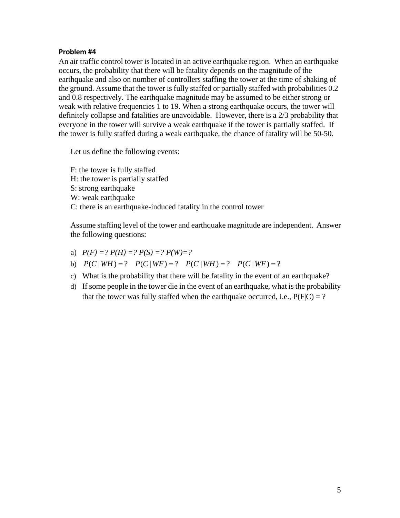An air traffic control tower is located in an active earthquake region. When an earthquake occurs, the probability that there will be fatality depends on the magnitude of the earthquake and also on number of controllers staffing the tower at the time of shaking of the ground. Assume that the tower is fully staffed or partially staffed with probabilities 0.2 and 0.8 respectively. The earthquake magnitude may be assumed to be either strong or weak with relative frequencies 1 to 19. When a strong earthquake occurs, the tower will definitely collapse and fatalities are unavoidable. However, there is a 2/3 probability that everyone in the tower will survive a weak earthquake if the tower is partially staffed. If the tower is fully staffed during a weak earthquake, the chance of fatality will be 50-50.

Let us define the following events:

F: the tower is fully staffed H: the tower is partially staffed S: strong earthquake W: weak earthquake C: there is an earthquake-induced fatality in the control tower

Assume staffing level of the tower and earthquake magnitude are independent. Answer the following questions:

- a)  $P(F) = ? P(H) = ? P(S) = ? P(W) = ?$
- b)  $P(C | WH) = ? \quad P(C | WF) = ? \quad P(\overline{C} | WH) = ? \quad P(\overline{C} | WF) = ?$
- c) What is the probability that there will be fatality in the event of an earthquake?
- d) If some people in the tower die in the event of an earthquake, what is the probability that the tower was fully staffed when the earthquake occurred, i.e.,  $P(F|C) = ?$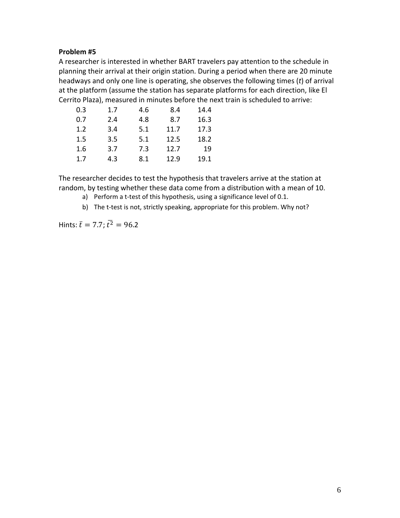A researcher is interested in whether BART travelers pay attention to the schedule in planning their arrival at their origin station. During a period when there are 20 minute headways and only one line is operating, she observes the following times (*t*) of arrival at the platform (assume the station has separate platforms for each direction, like El Cerrito Plaza), measured in minutes before the next train is scheduled to arrive:

| 0.3 | 1.7 | 4.6 | 8.4  | 14.4 |
|-----|-----|-----|------|------|
| 0.7 | 2.4 | 4.8 | 8.7  | 16.3 |
| 1.2 | 3.4 | 5.1 | 11.7 | 17.3 |
| 1.5 | 3.5 | 5.1 | 12.5 | 18.2 |
| 1.6 | 3.7 | 7.3 | 12.7 | 19   |
| 1.7 | 4.3 | 8.1 | 12.9 | 19.1 |

The researcher decides to test the hypothesis that travelers arrive at the station at random, by testing whether these data come from a distribution with a mean of 10.

- a) Perform a t-test of this hypothesis, using a significance level of 0.1.
- b) The t-test is not, strictly speaking, appropriate for this problem. Why not?

Hints:  $\bar{t} = 7.7$ ;  $\bar{t}^2 = 96.2$